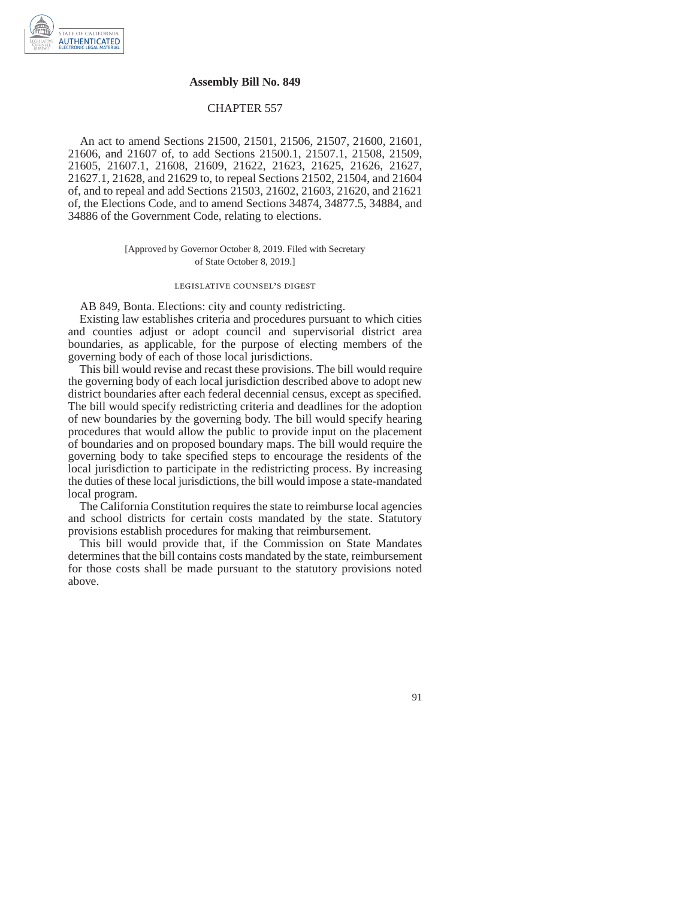## **Assembly Bill No. 849**

## CHAPTER 557

An act to amend Sections 21500, 21501, 21506, 21507, 21600, 21601, 21606, and 21607 of, to add Sections 21500.1, 21507.1, 21508, 21509, 21605, 21607.1, 21608, 21609, 21622, 21623, 21625, 21626, 21627, 21627.1, 21628, and 21629 to, to repeal Sections 21502, 21504, and 21604 of, and to repeal and add Sections 21503, 21602, 21603, 21620, and 21621 of, the Elections Code, and to amend Sections 34874, 34877.5, 34884, and 34886 of the Government Code, relating to elections.

> [Approved by Governor October 8, 2019. Filed with Secretary of State October 8, 2019.]

## legislative counsel's digest

AB 849, Bonta. Elections: city and county redistricting.

Existing law establishes criteria and procedures pursuant to which cities and counties adjust or adopt council and supervisorial district area boundaries, as applicable, for the purpose of electing members of the governing body of each of those local jurisdictions.

This bill would revise and recast these provisions. The bill would require the governing body of each local jurisdiction described above to adopt new district boundaries after each federal decennial census, except as specified. The bill would specify redistricting criteria and deadlines for the adoption of new boundaries by the governing body. The bill would specify hearing procedures that would allow the public to provide input on the placement of boundaries and on proposed boundary maps. The bill would require the governing body to take specified steps to encourage the residents of the local jurisdiction to participate in the redistricting process. By increasing the duties of these local jurisdictions, the bill would impose a state-mandated local program.

The California Constitution requires the state to reimburse local agencies and school districts for certain costs mandated by the state. Statutory provisions establish procedures for making that reimbursement.

This bill would provide that, if the Commission on State Mandates determines that the bill contains costs mandated by the state, reimbursement for those costs shall be made pursuant to the statutory provisions noted above.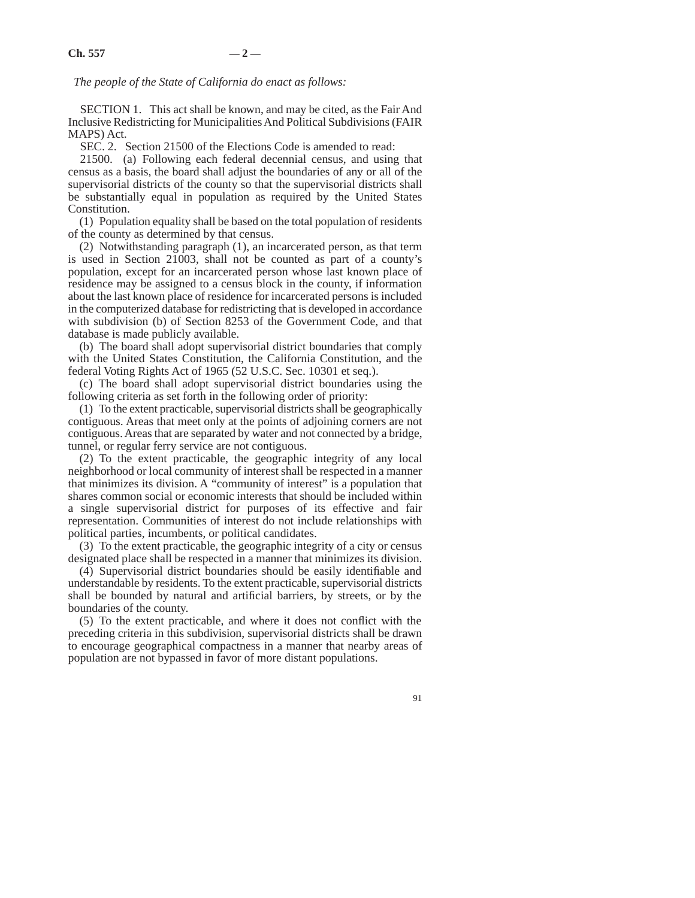*The people of the State of California do enact as follows:* 

SECTION 1. This act shall be known, and may be cited, as the Fair And Inclusive Redistricting for Municipalities And Political Subdivisions (FAIR MAPS) Act.

SEC. 2. Section 21500 of the Elections Code is amended to read:

21500. (a) Following each federal decennial census, and using that census as a basis, the board shall adjust the boundaries of any or all of the supervisorial districts of the county so that the supervisorial districts shall be substantially equal in population as required by the United States Constitution.

(1) Population equality shall be based on the total population of residents of the county as determined by that census.

(2) Notwithstanding paragraph (1), an incarcerated person, as that term is used in Section 21003, shall not be counted as part of a county's population, except for an incarcerated person whose last known place of residence may be assigned to a census block in the county, if information about the last known place of residence for incarcerated persons is included in the computerized database for redistricting that is developed in accordance with subdivision (b) of Section 8253 of the Government Code, and that database is made publicly available.

(b) The board shall adopt supervisorial district boundaries that comply with the United States Constitution, the California Constitution, and the federal Voting Rights Act of 1965 (52 U.S.C. Sec. 10301 et seq.).

(c) The board shall adopt supervisorial district boundaries using the following criteria as set forth in the following order of priority:

(1) To the extent practicable, supervisorial districts shall be geographically contiguous. Areas that meet only at the points of adjoining corners are not contiguous. Areas that are separated by water and not connected by a bridge, tunnel, or regular ferry service are not contiguous.

(2) To the extent practicable, the geographic integrity of any local neighborhood or local community of interest shall be respected in a manner that minimizes its division. A "community of interest" is a population that shares common social or economic interests that should be included within a single supervisorial district for purposes of its effective and fair representation. Communities of interest do not include relationships with political parties, incumbents, or political candidates.

(3) To the extent practicable, the geographic integrity of a city or census designated place shall be respected in a manner that minimizes its division.

(4) Supervisorial district boundaries should be easily identifiable and understandable by residents. To the extent practicable, supervisorial districts shall be bounded by natural and artificial barriers, by streets, or by the boundaries of the county.

(5) To the extent practicable, and where it does not conflict with the preceding criteria in this subdivision, supervisorial districts shall be drawn to encourage geographical compactness in a manner that nearby areas of population are not bypassed in favor of more distant populations.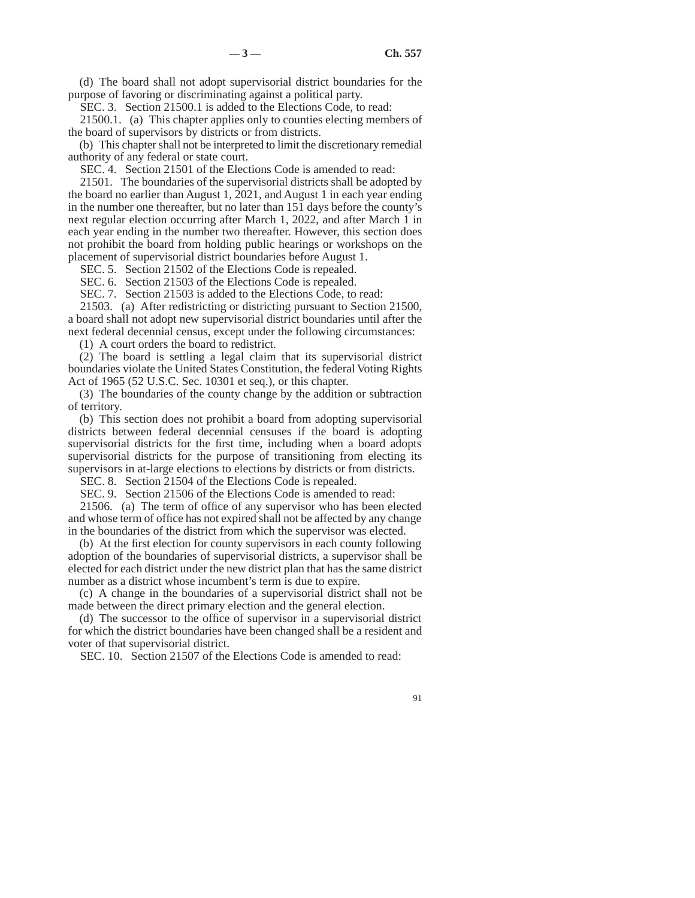(d) The board shall not adopt supervisorial district boundaries for the purpose of favoring or discriminating against a political party.

SEC. 3. Section 21500.1 is added to the Elections Code, to read:

21500.1. (a) This chapter applies only to counties electing members of the board of supervisors by districts or from districts.

(b) This chapter shall not be interpreted to limit the discretionary remedial authority of any federal or state court.

SEC. 4. Section 21501 of the Elections Code is amended to read:

21501. The boundaries of the supervisorial districts shall be adopted by the board no earlier than August 1, 2021, and August 1 in each year ending in the number one thereafter, but no later than 151 days before the county's next regular election occurring after March 1, 2022, and after March 1 in each year ending in the number two thereafter. However, this section does not prohibit the board from holding public hearings or workshops on the placement of supervisorial district boundaries before August 1.

SEC. 5. Section 21502 of the Elections Code is repealed.

SEC. 6. Section 21503 of the Elections Code is repealed.

SEC. 7. Section 21503 is added to the Elections Code, to read:

21503. (a) After redistricting or districting pursuant to Section 21500, a board shall not adopt new supervisorial district boundaries until after the next federal decennial census, except under the following circumstances:

(1) A court orders the board to redistrict.

(2) The board is settling a legal claim that its supervisorial district boundaries violate the United States Constitution, the federal Voting Rights Act of 1965 (52 U.S.C. Sec. 10301 et seq.), or this chapter.

(3) The boundaries of the county change by the addition or subtraction of territory.

(b) This section does not prohibit a board from adopting supervisorial districts between federal decennial censuses if the board is adopting supervisorial districts for the first time, including when a board adopts supervisorial districts for the purpose of transitioning from electing its supervisors in at-large elections to elections by districts or from districts.

SEC. 8. Section 21504 of the Elections Code is repealed.

SEC. 9. Section 21506 of the Elections Code is amended to read:

21506. (a) The term of office of any supervisor who has been elected and whose term of office has not expired shall not be affected by any change in the boundaries of the district from which the supervisor was elected.

(b) At the first election for county supervisors in each county following adoption of the boundaries of supervisorial districts, a supervisor shall be elected for each district under the new district plan that has the same district number as a district whose incumbent's term is due to expire.

(c) A change in the boundaries of a supervisorial district shall not be made between the direct primary election and the general election.

(d) The successor to the office of supervisor in a supervisorial district for which the district boundaries have been changed shall be a resident and voter of that supervisorial district.

SEC. 10. Section 21507 of the Elections Code is amended to read: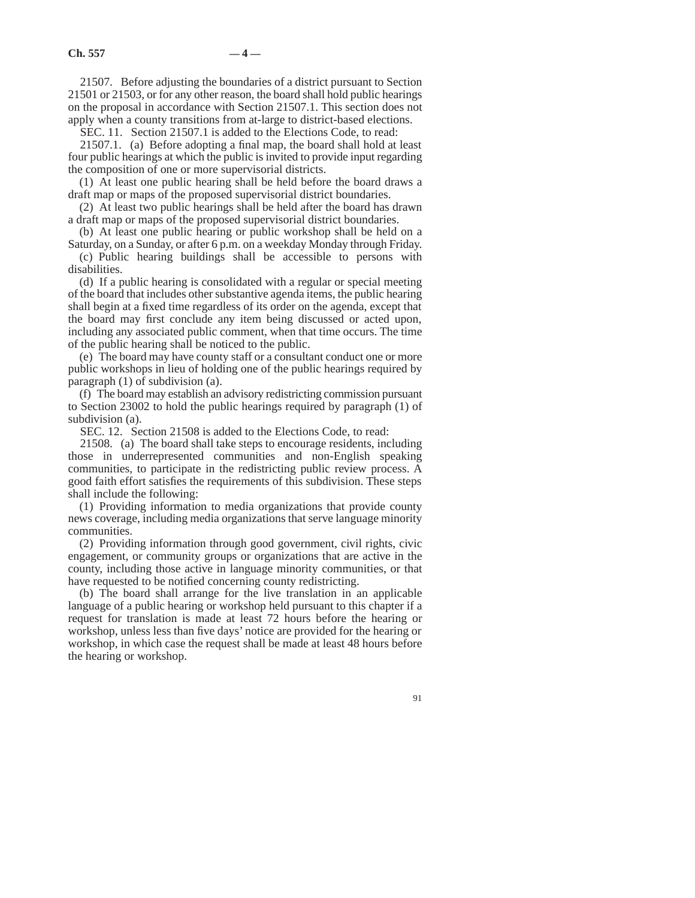21507. Before adjusting the boundaries of a district pursuant to Section 21501 or 21503, or for any other reason, the board shall hold public hearings on the proposal in accordance with Section 21507.1. This section does not apply when a county transitions from at-large to district-based elections.

SEC. 11. Section 21507.1 is added to the Elections Code, to read:

21507.1. (a) Before adopting a final map, the board shall hold at least four public hearings at which the public is invited to provide input regarding the composition of one or more supervisorial districts.

(1) At least one public hearing shall be held before the board draws a draft map or maps of the proposed supervisorial district boundaries.

(2) At least two public hearings shall be held after the board has drawn a draft map or maps of the proposed supervisorial district boundaries.

(b) At least one public hearing or public workshop shall be held on a Saturday, on a Sunday, or after 6 p.m. on a weekday Monday through Friday.

(c) Public hearing buildings shall be accessible to persons with disabilities.

(d) If a public hearing is consolidated with a regular or special meeting of the board that includes other substantive agenda items, the public hearing shall begin at a fixed time regardless of its order on the agenda, except that the board may first conclude any item being discussed or acted upon, including any associated public comment, when that time occurs. The time of the public hearing shall be noticed to the public.

(e) The board may have county staff or a consultant conduct one or more public workshops in lieu of holding one of the public hearings required by paragraph (1) of subdivision (a).

(f) The board may establish an advisory redistricting commission pursuant to Section 23002 to hold the public hearings required by paragraph (1) of subdivision (a).

SEC. 12. Section 21508 is added to the Elections Code, to read:

21508. (a) The board shall take steps to encourage residents, including those in underrepresented communities and non-English speaking communities, to participate in the redistricting public review process. A good faith effort satisfies the requirements of this subdivision. These steps shall include the following:

(1) Providing information to media organizations that provide county news coverage, including media organizations that serve language minority communities.

(2) Providing information through good government, civil rights, civic engagement, or community groups or organizations that are active in the county, including those active in language minority communities, or that have requested to be notified concerning county redistricting.

(b) The board shall arrange for the live translation in an applicable language of a public hearing or workshop held pursuant to this chapter if a request for translation is made at least 72 hours before the hearing or workshop, unless less than five days' notice are provided for the hearing or workshop, in which case the request shall be made at least 48 hours before the hearing or workshop.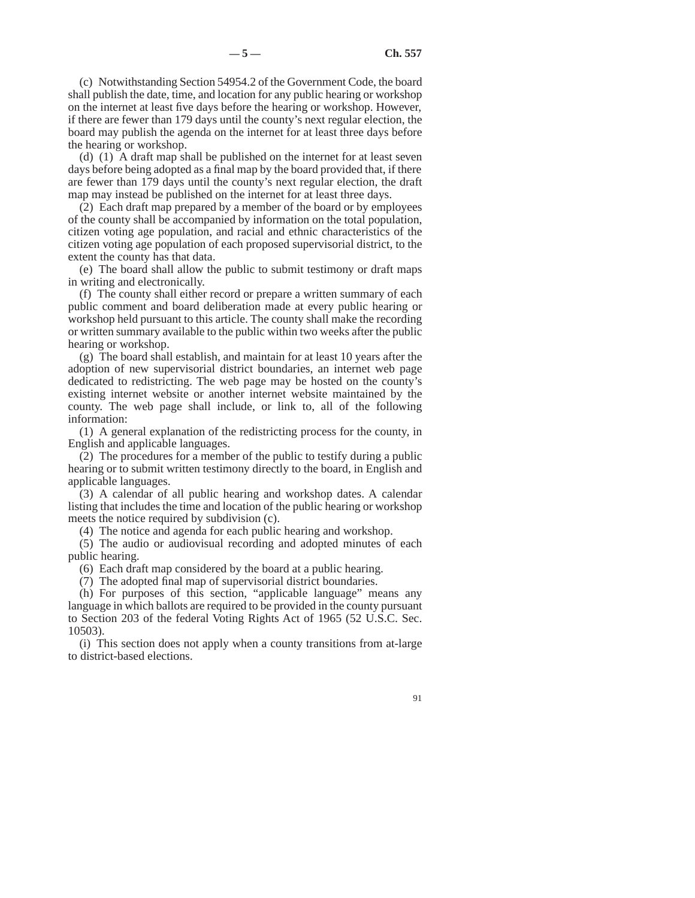(c) Notwithstanding Section 54954.2 of the Government Code, the board shall publish the date, time, and location for any public hearing or workshop on the internet at least five days before the hearing or workshop. However, if there are fewer than 179 days until the county's next regular election, the board may publish the agenda on the internet for at least three days before the hearing or workshop.

(d) (1) A draft map shall be published on the internet for at least seven days before being adopted as a final map by the board provided that, if there are fewer than 179 days until the county's next regular election, the draft map may instead be published on the internet for at least three days.

(2) Each draft map prepared by a member of the board or by employees of the county shall be accompanied by information on the total population, citizen voting age population, and racial and ethnic characteristics of the citizen voting age population of each proposed supervisorial district, to the extent the county has that data.

(e) The board shall allow the public to submit testimony or draft maps in writing and electronically.

(f) The county shall either record or prepare a written summary of each public comment and board deliberation made at every public hearing or workshop held pursuant to this article. The county shall make the recording or written summary available to the public within two weeks after the public hearing or workshop.

(g) The board shall establish, and maintain for at least 10 years after the adoption of new supervisorial district boundaries, an internet web page dedicated to redistricting. The web page may be hosted on the county's existing internet website or another internet website maintained by the county. The web page shall include, or link to, all of the following information:

(1) A general explanation of the redistricting process for the county, in English and applicable languages.

(2) The procedures for a member of the public to testify during a public hearing or to submit written testimony directly to the board, in English and applicable languages.

(3) A calendar of all public hearing and workshop dates. A calendar listing that includes the time and location of the public hearing or workshop meets the notice required by subdivision (c).

(4) The notice and agenda for each public hearing and workshop.

(5) The audio or audiovisual recording and adopted minutes of each public hearing.

(6) Each draft map considered by the board at a public hearing.

(7) The adopted final map of supervisorial district boundaries.

(h) For purposes of this section, "applicable language" means any language in which ballots are required to be provided in the county pursuant to Section 203 of the federal Voting Rights Act of 1965 (52 U.S.C. Sec. 10503).

(i) This section does not apply when a county transitions from at-large to district-based elections.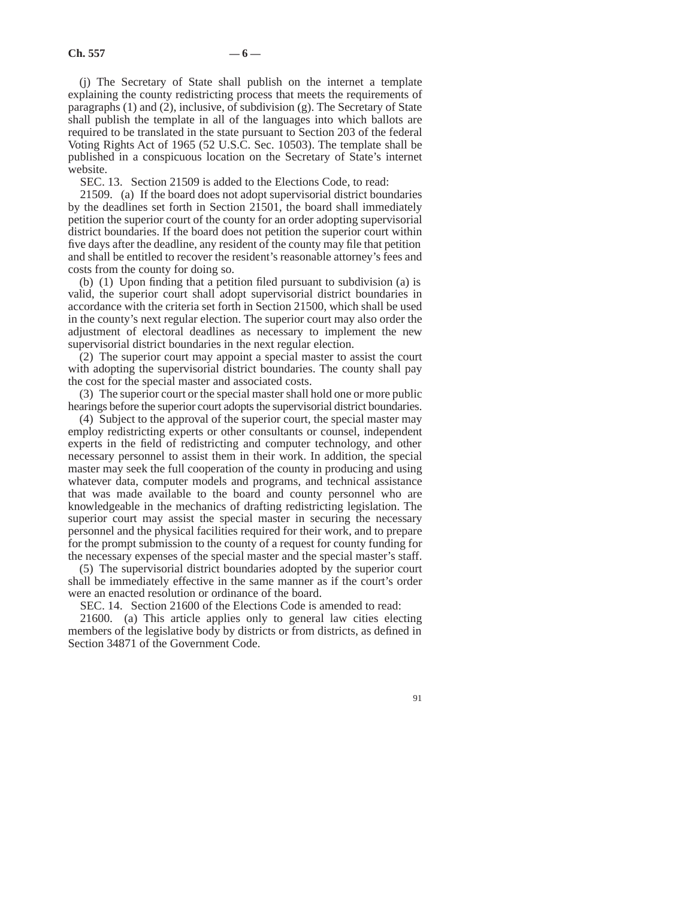(j) The Secretary of State shall publish on the internet a template explaining the county redistricting process that meets the requirements of paragraphs (1) and (2), inclusive, of subdivision (g). The Secretary of State shall publish the template in all of the languages into which ballots are required to be translated in the state pursuant to Section 203 of the federal Voting Rights Act of 1965 (52 U.S.C. Sec. 10503). The template shall be published in a conspicuous location on the Secretary of State's internet website.

SEC. 13. Section 21509 is added to the Elections Code, to read:

21509. (a) If the board does not adopt supervisorial district boundaries by the deadlines set forth in Section 21501, the board shall immediately petition the superior court of the county for an order adopting supervisorial district boundaries. If the board does not petition the superior court within five days after the deadline, any resident of the county may file that petition and shall be entitled to recover the resident's reasonable attorney's fees and costs from the county for doing so.

(b) (1) Upon finding that a petition filed pursuant to subdivision (a) is valid, the superior court shall adopt supervisorial district boundaries in accordance with the criteria set forth in Section 21500, which shall be used in the county's next regular election. The superior court may also order the adjustment of electoral deadlines as necessary to implement the new supervisorial district boundaries in the next regular election.

(2) The superior court may appoint a special master to assist the court with adopting the supervisorial district boundaries. The county shall pay the cost for the special master and associated costs.

(3) The superior court or the special master shall hold one or more public hearings before the superior court adopts the supervisorial district boundaries.

(4) Subject to the approval of the superior court, the special master may employ redistricting experts or other consultants or counsel, independent experts in the field of redistricting and computer technology, and other necessary personnel to assist them in their work. In addition, the special master may seek the full cooperation of the county in producing and using whatever data, computer models and programs, and technical assistance that was made available to the board and county personnel who are knowledgeable in the mechanics of drafting redistricting legislation. The superior court may assist the special master in securing the necessary personnel and the physical facilities required for their work, and to prepare for the prompt submission to the county of a request for county funding for the necessary expenses of the special master and the special master's staff.

(5) The supervisorial district boundaries adopted by the superior court shall be immediately effective in the same manner as if the court's order were an enacted resolution or ordinance of the board.

SEC. 14. Section 21600 of the Elections Code is amended to read:

21600. (a) This article applies only to general law cities electing members of the legislative body by districts or from districts, as defined in Section 34871 of the Government Code.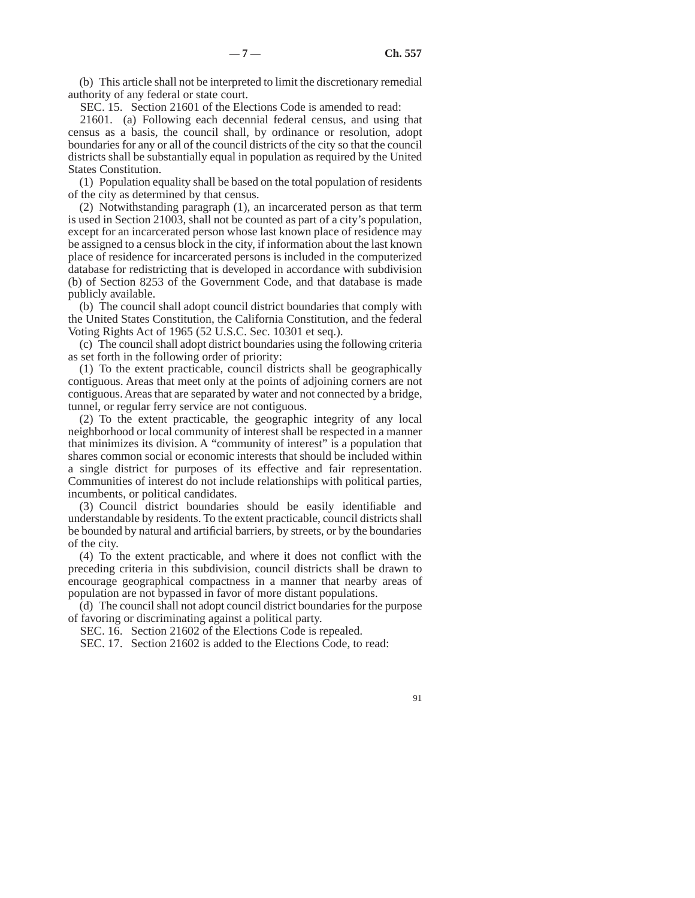(b) This article shall not be interpreted to limit the discretionary remedial authority of any federal or state court.

SEC. 15. Section 21601 of the Elections Code is amended to read:

21601. (a) Following each decennial federal census, and using that census as a basis, the council shall, by ordinance or resolution, adopt boundaries for any or all of the council districts of the city so that the council districts shall be substantially equal in population as required by the United States Constitution.

(1) Population equality shall be based on the total population of residents of the city as determined by that census.

(2) Notwithstanding paragraph (1), an incarcerated person as that term is used in Section 21003, shall not be counted as part of a city's population, except for an incarcerated person whose last known place of residence may be assigned to a census block in the city, if information about the last known place of residence for incarcerated persons is included in the computerized database for redistricting that is developed in accordance with subdivision (b) of Section 8253 of the Government Code, and that database is made publicly available.

(b) The council shall adopt council district boundaries that comply with the United States Constitution, the California Constitution, and the federal Voting Rights Act of 1965 (52 U.S.C. Sec. 10301 et seq.).

(c) The council shall adopt district boundaries using the following criteria as set forth in the following order of priority:

(1) To the extent practicable, council districts shall be geographically contiguous. Areas that meet only at the points of adjoining corners are not contiguous. Areas that are separated by water and not connected by a bridge, tunnel, or regular ferry service are not contiguous.

(2) To the extent practicable, the geographic integrity of any local neighborhood or local community of interest shall be respected in a manner that minimizes its division. A "community of interest" is a population that shares common social or economic interests that should be included within a single district for purposes of its effective and fair representation. Communities of interest do not include relationships with political parties, incumbents, or political candidates.

(3) Council district boundaries should be easily identifiable and understandable by residents. To the extent practicable, council districts shall be bounded by natural and artificial barriers, by streets, or by the boundaries of the city.

(4) To the extent practicable, and where it does not conflict with the preceding criteria in this subdivision, council districts shall be drawn to encourage geographical compactness in a manner that nearby areas of population are not bypassed in favor of more distant populations.

(d) The council shall not adopt council district boundaries for the purpose of favoring or discriminating against a political party.

SEC. 16. Section 21602 of the Elections Code is repealed.

SEC. 17. Section 21602 is added to the Elections Code, to read: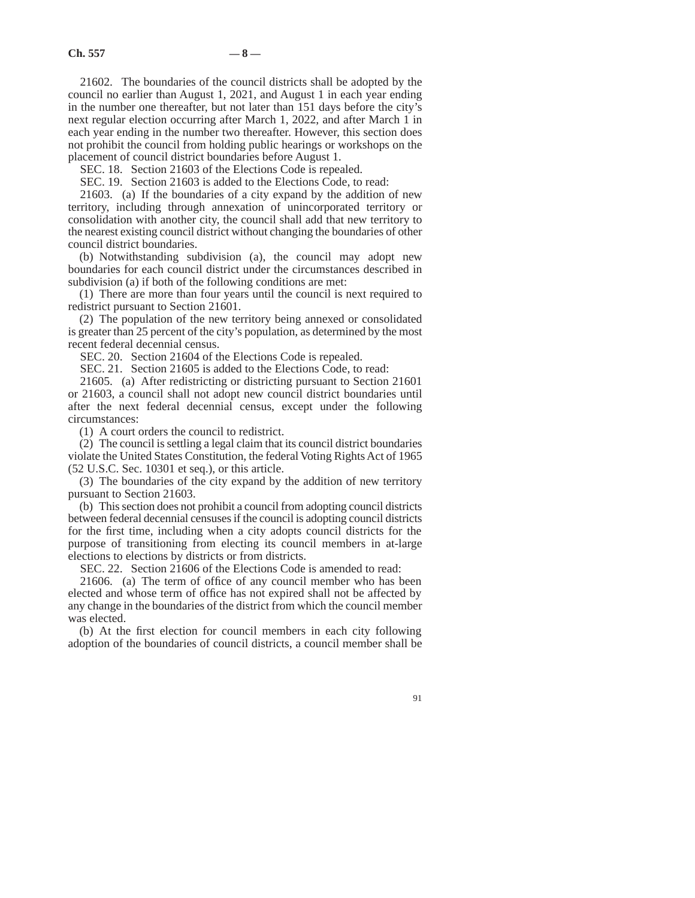21602. The boundaries of the council districts shall be adopted by the council no earlier than August 1, 2021, and August 1 in each year ending in the number one thereafter, but not later than 151 days before the city's next regular election occurring after March 1, 2022, and after March 1 in each year ending in the number two thereafter. However, this section does not prohibit the council from holding public hearings or workshops on the placement of council district boundaries before August 1.

SEC. 18. Section 21603 of the Elections Code is repealed.

SEC. 19. Section 21603 is added to the Elections Code, to read:

21603. (a) If the boundaries of a city expand by the addition of new territory, including through annexation of unincorporated territory or consolidation with another city, the council shall add that new territory to the nearest existing council district without changing the boundaries of other council district boundaries.

(b) Notwithstanding subdivision (a), the council may adopt new boundaries for each council district under the circumstances described in subdivision (a) if both of the following conditions are met:

(1) There are more than four years until the council is next required to redistrict pursuant to Section 21601.

(2) The population of the new territory being annexed or consolidated is greater than 25 percent of the city's population, as determined by the most recent federal decennial census.

SEC. 20. Section 21604 of the Elections Code is repealed.

SEC. 21. Section 21605 is added to the Elections Code, to read:

21605. (a) After redistricting or districting pursuant to Section 21601 or 21603, a council shall not adopt new council district boundaries until after the next federal decennial census, except under the following circumstances:

(1) A court orders the council to redistrict.

(2) The council is settling a legal claim that its council district boundaries violate the United States Constitution, the federal Voting Rights Act of 1965 (52 U.S.C. Sec. 10301 et seq.), or this article.

(3) The boundaries of the city expand by the addition of new territory pursuant to Section 21603.

(b) This section does not prohibit a council from adopting council districts between federal decennial censuses if the council is adopting council districts for the first time, including when a city adopts council districts for the purpose of transitioning from electing its council members in at-large elections to elections by districts or from districts.

SEC. 22. Section 21606 of the Elections Code is amended to read:

21606. (a) The term of office of any council member who has been elected and whose term of office has not expired shall not be affected by any change in the boundaries of the district from which the council member was elected.

(b) At the first election for council members in each city following adoption of the boundaries of council districts, a council member shall be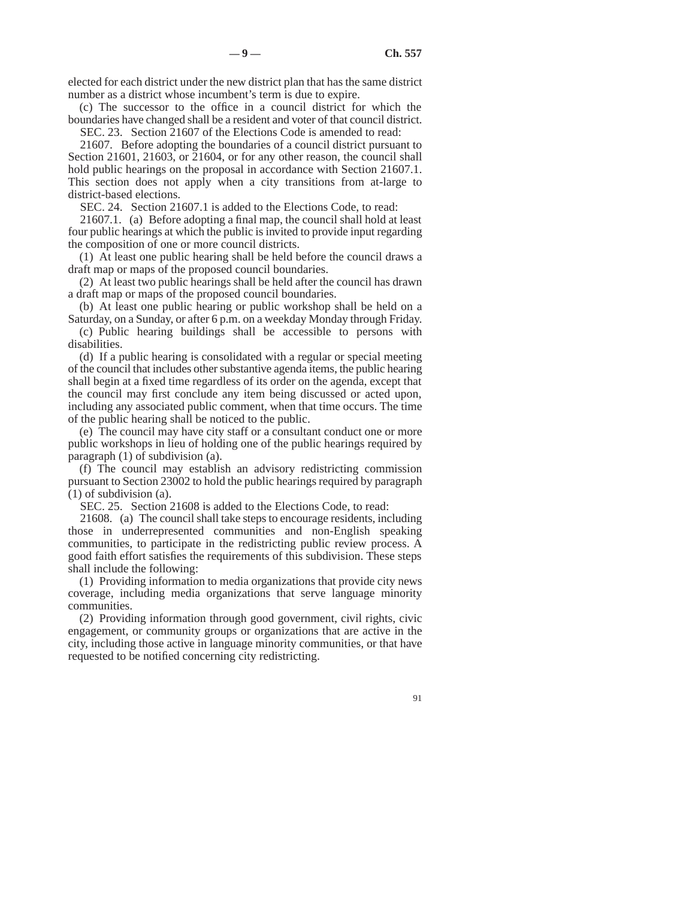elected for each district under the new district plan that has the same district number as a district whose incumbent's term is due to expire.

(c) The successor to the office in a council district for which the boundaries have changed shall be a resident and voter of that council district.

SEC. 23. Section 21607 of the Elections Code is amended to read:

21607. Before adopting the boundaries of a council district pursuant to Section 21601, 21603, or 21604, or for any other reason, the council shall hold public hearings on the proposal in accordance with Section 21607.1. This section does not apply when a city transitions from at-large to district-based elections.

SEC. 24. Section 21607.1 is added to the Elections Code, to read:

21607.1. (a) Before adopting a final map, the council shall hold at least four public hearings at which the public is invited to provide input regarding the composition of one or more council districts.

(1) At least one public hearing shall be held before the council draws a draft map or maps of the proposed council boundaries.

(2) At least two public hearings shall be held after the council has drawn a draft map or maps of the proposed council boundaries.

(b) At least one public hearing or public workshop shall be held on a Saturday, on a Sunday, or after 6 p.m. on a weekday Monday through Friday.

(c) Public hearing buildings shall be accessible to persons with disabilities.

(d) If a public hearing is consolidated with a regular or special meeting of the council that includes other substantive agenda items, the public hearing shall begin at a fixed time regardless of its order on the agenda, except that the council may first conclude any item being discussed or acted upon, including any associated public comment, when that time occurs. The time of the public hearing shall be noticed to the public.

(e) The council may have city staff or a consultant conduct one or more public workshops in lieu of holding one of the public hearings required by paragraph (1) of subdivision (a).

(f) The council may establish an advisory redistricting commission pursuant to Section 23002 to hold the public hearings required by paragraph (1) of subdivision (a).

SEC. 25. Section 21608 is added to the Elections Code, to read:

21608. (a) The council shall take steps to encourage residents, including those in underrepresented communities and non-English speaking communities, to participate in the redistricting public review process. A good faith effort satisfies the requirements of this subdivision. These steps shall include the following:

(1) Providing information to media organizations that provide city news coverage, including media organizations that serve language minority communities.

(2) Providing information through good government, civil rights, civic engagement, or community groups or organizations that are active in the city, including those active in language minority communities, or that have requested to be notified concerning city redistricting.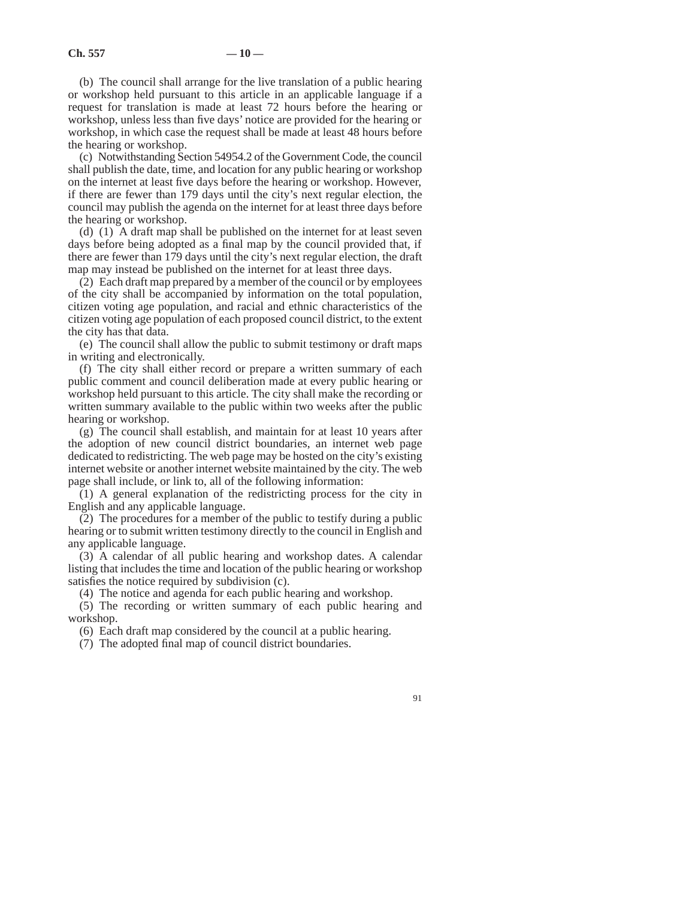(b) The council shall arrange for the live translation of a public hearing or workshop held pursuant to this article in an applicable language if a request for translation is made at least 72 hours before the hearing or workshop, unless less than five days' notice are provided for the hearing or workshop, in which case the request shall be made at least 48 hours before the hearing or workshop.

(c) Notwithstanding Section 54954.2 of the Government Code, the council shall publish the date, time, and location for any public hearing or workshop on the internet at least five days before the hearing or workshop. However, if there are fewer than 179 days until the city's next regular election, the council may publish the agenda on the internet for at least three days before the hearing or workshop.

(d) (1) A draft map shall be published on the internet for at least seven days before being adopted as a final map by the council provided that, if there are fewer than 179 days until the city's next regular election, the draft map may instead be published on the internet for at least three days.

(2) Each draft map prepared by a member of the council or by employees of the city shall be accompanied by information on the total population, citizen voting age population, and racial and ethnic characteristics of the citizen voting age population of each proposed council district, to the extent the city has that data.

(e) The council shall allow the public to submit testimony or draft maps in writing and electronically.

(f) The city shall either record or prepare a written summary of each public comment and council deliberation made at every public hearing or workshop held pursuant to this article. The city shall make the recording or written summary available to the public within two weeks after the public hearing or workshop.

(g) The council shall establish, and maintain for at least 10 years after the adoption of new council district boundaries, an internet web page dedicated to redistricting. The web page may be hosted on the city's existing internet website or another internet website maintained by the city. The web page shall include, or link to, all of the following information:

(1) A general explanation of the redistricting process for the city in English and any applicable language.

(2) The procedures for a member of the public to testify during a public hearing or to submit written testimony directly to the council in English and any applicable language.

(3) A calendar of all public hearing and workshop dates. A calendar listing that includes the time and location of the public hearing or workshop satisfies the notice required by subdivision (c).

(4) The notice and agenda for each public hearing and workshop.

(5) The recording or written summary of each public hearing and workshop.

(6) Each draft map considered by the council at a public hearing.

(7) The adopted final map of council district boundaries.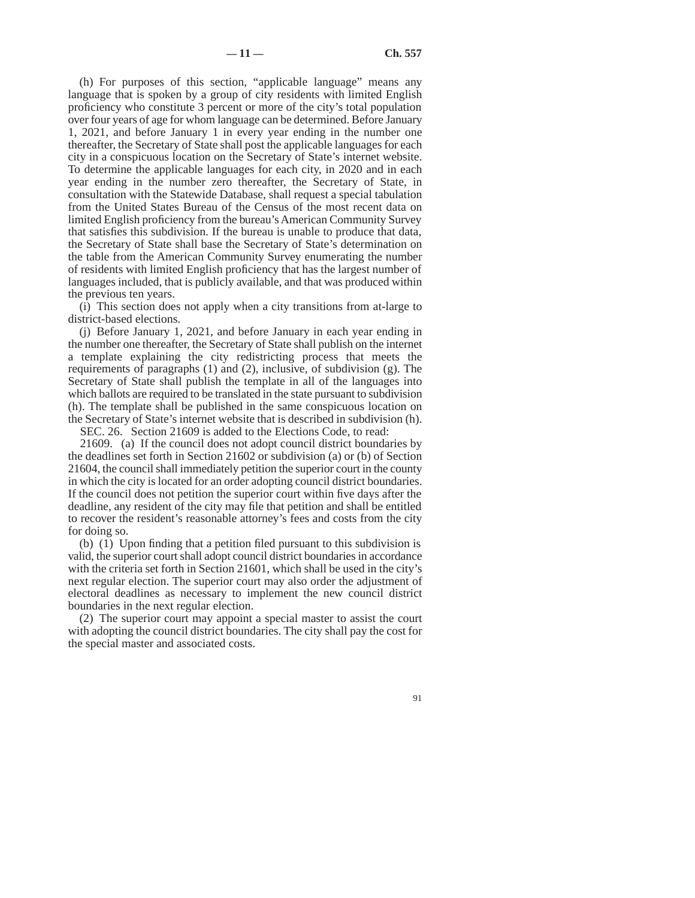(h) For purposes of this section, "applicable language" means any language that is spoken by a group of city residents with limited English proficiency who constitute 3 percent or more of the city's total population over four years of age for whom language can be determined. Before January 1, 2021, and before January 1 in every year ending in the number one thereafter, the Secretary of State shall post the applicable languages for each city in a conspicuous location on the Secretary of State's internet website. To determine the applicable languages for each city, in 2020 and in each year ending in the number zero thereafter, the Secretary of State, in consultation with the Statewide Database, shall request a special tabulation from the United States Bureau of the Census of the most recent data on limited English proficiency from the bureau's American Community Survey that satisfies this subdivision. If the bureau is unable to produce that data, the Secretary of State shall base the Secretary of State's determination on the table from the American Community Survey enumerating the number of residents with limited English proficiency that has the largest number of languages included, that is publicly available, and that was produced within the previous ten years.

(i) This section does not apply when a city transitions from at-large to district-based elections.

(j) Before January 1, 2021, and before January in each year ending in the number one thereafter, the Secretary of State shall publish on the internet a template explaining the city redistricting process that meets the requirements of paragraphs (1) and (2), inclusive, of subdivision (g). The Secretary of State shall publish the template in all of the languages into which ballots are required to be translated in the state pursuant to subdivision (h). The template shall be published in the same conspicuous location on the Secretary of State's internet website that is described in subdivision (h).

SEC. 26. Section 21609 is added to the Elections Code, to read:

21609. (a) If the council does not adopt council district boundaries by the deadlines set forth in Section 21602 or subdivision (a) or (b) of Section 21604, the council shall immediately petition the superior court in the county in which the city is located for an order adopting council district boundaries. If the council does not petition the superior court within five days after the deadline, any resident of the city may file that petition and shall be entitled to recover the resident's reasonable attorney's fees and costs from the city for doing so.

(b) (1) Upon finding that a petition filed pursuant to this subdivision is valid, the superior court shall adopt council district boundaries in accordance with the criteria set forth in Section 21601, which shall be used in the city's next regular election. The superior court may also order the adjustment of electoral deadlines as necessary to implement the new council district boundaries in the next regular election.

(2) The superior court may appoint a special master to assist the court with adopting the council district boundaries. The city shall pay the cost for the special master and associated costs.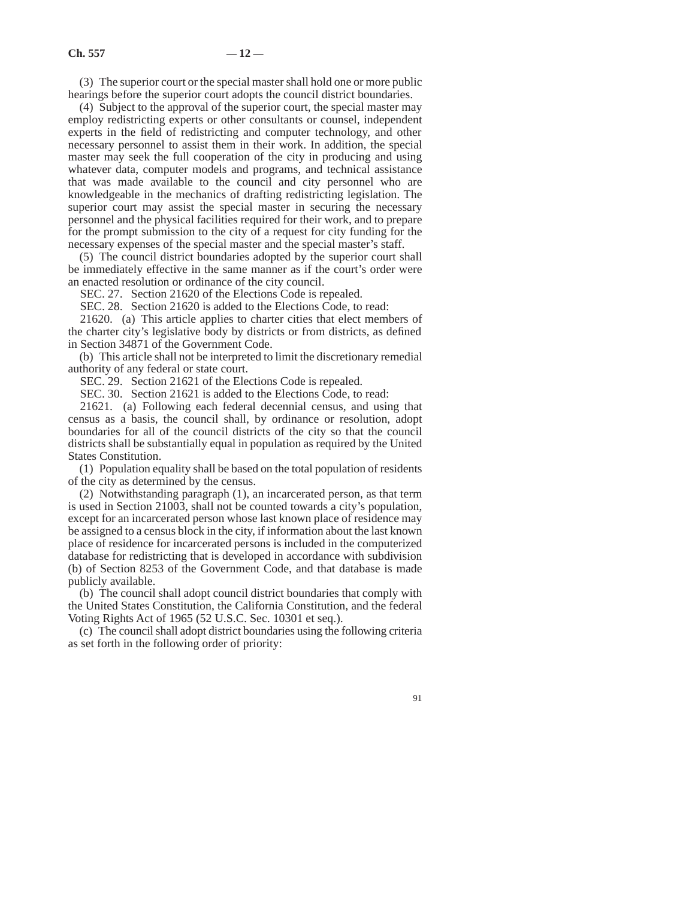(3) The superior court or the special master shall hold one or more public hearings before the superior court adopts the council district boundaries.

(4) Subject to the approval of the superior court, the special master may employ redistricting experts or other consultants or counsel, independent experts in the field of redistricting and computer technology, and other necessary personnel to assist them in their work. In addition, the special master may seek the full cooperation of the city in producing and using whatever data, computer models and programs, and technical assistance that was made available to the council and city personnel who are knowledgeable in the mechanics of drafting redistricting legislation. The superior court may assist the special master in securing the necessary personnel and the physical facilities required for their work, and to prepare for the prompt submission to the city of a request for city funding for the necessary expenses of the special master and the special master's staff.

(5) The council district boundaries adopted by the superior court shall be immediately effective in the same manner as if the court's order were an enacted resolution or ordinance of the city council.

SEC. 27. Section 21620 of the Elections Code is repealed.

SEC. 28. Section 21620 is added to the Elections Code, to read:

21620. (a) This article applies to charter cities that elect members of the charter city's legislative body by districts or from districts, as defined in Section 34871 of the Government Code.

(b) This article shall not be interpreted to limit the discretionary remedial authority of any federal or state court.

SEC. 29. Section 21621 of the Elections Code is repealed.

SEC. 30. Section 21621 is added to the Elections Code, to read:

21621. (a) Following each federal decennial census, and using that census as a basis, the council shall, by ordinance or resolution, adopt boundaries for all of the council districts of the city so that the council districts shall be substantially equal in population as required by the United States Constitution.

(1) Population equality shall be based on the total population of residents of the city as determined by the census.

(2) Notwithstanding paragraph (1), an incarcerated person, as that term is used in Section 21003, shall not be counted towards a city's population, except for an incarcerated person whose last known place of residence may be assigned to a census block in the city, if information about the last known place of residence for incarcerated persons is included in the computerized database for redistricting that is developed in accordance with subdivision (b) of Section 8253 of the Government Code, and that database is made publicly available.

(b) The council shall adopt council district boundaries that comply with the United States Constitution, the California Constitution, and the federal Voting Rights Act of 1965 (52 U.S.C. Sec. 10301 et seq.).

(c) The council shall adopt district boundaries using the following criteria as set forth in the following order of priority: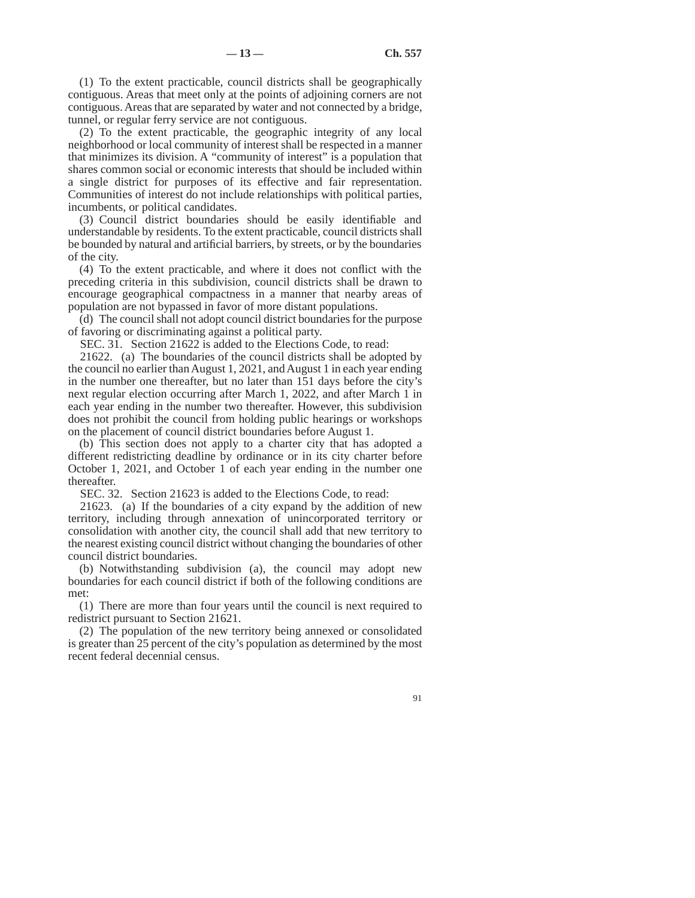(1) To the extent practicable, council districts shall be geographically contiguous. Areas that meet only at the points of adjoining corners are not contiguous. Areas that are separated by water and not connected by a bridge, tunnel, or regular ferry service are not contiguous.

(2) To the extent practicable, the geographic integrity of any local neighborhood or local community of interest shall be respected in a manner that minimizes its division. A "community of interest" is a population that shares common social or economic interests that should be included within a single district for purposes of its effective and fair representation. Communities of interest do not include relationships with political parties, incumbents, or political candidates.

(3) Council district boundaries should be easily identifiable and understandable by residents. To the extent practicable, council districts shall be bounded by natural and artificial barriers, by streets, or by the boundaries of the city.

(4) To the extent practicable, and where it does not conflict with the preceding criteria in this subdivision, council districts shall be drawn to encourage geographical compactness in a manner that nearby areas of population are not bypassed in favor of more distant populations.

(d) The council shall not adopt council district boundaries for the purpose of favoring or discriminating against a political party.

SEC. 31. Section 21622 is added to the Elections Code, to read:

21622. (a) The boundaries of the council districts shall be adopted by the council no earlier than August 1, 2021, and August 1 in each year ending in the number one thereafter, but no later than 151 days before the city's next regular election occurring after March 1, 2022, and after March 1 in each year ending in the number two thereafter. However, this subdivision does not prohibit the council from holding public hearings or workshops on the placement of council district boundaries before August 1.

(b) This section does not apply to a charter city that has adopted a different redistricting deadline by ordinance or in its city charter before October 1, 2021, and October 1 of each year ending in the number one thereafter.

SEC. 32. Section 21623 is added to the Elections Code, to read:

21623. (a) If the boundaries of a city expand by the addition of new territory, including through annexation of unincorporated territory or consolidation with another city, the council shall add that new territory to the nearest existing council district without changing the boundaries of other council district boundaries.

(b) Notwithstanding subdivision (a), the council may adopt new boundaries for each council district if both of the following conditions are met:

(1) There are more than four years until the council is next required to redistrict pursuant to Section 21621.

(2) The population of the new territory being annexed or consolidated is greater than 25 percent of the city's population as determined by the most recent federal decennial census.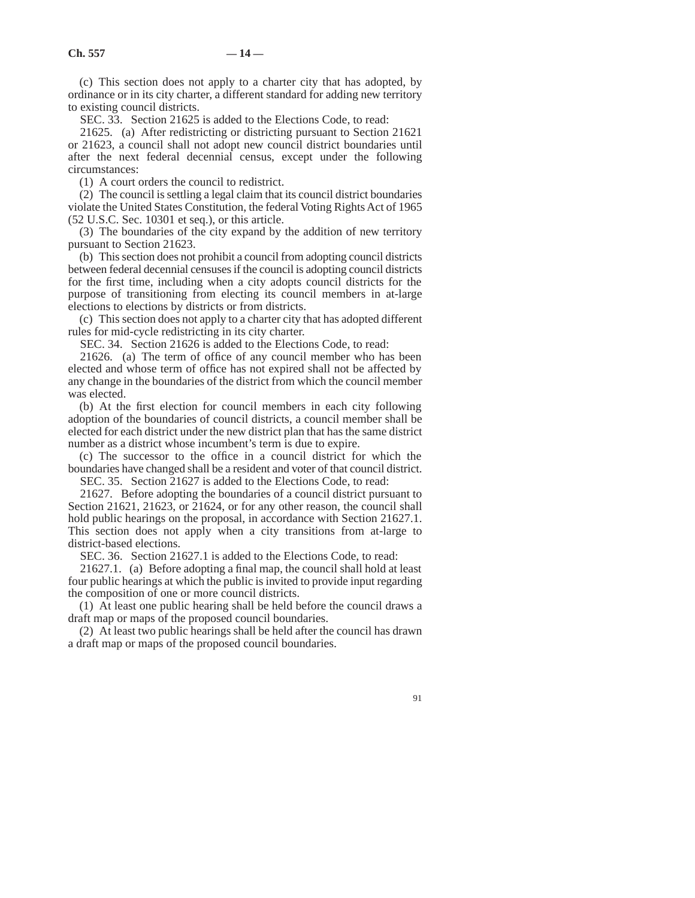(c) This section does not apply to a charter city that has adopted, by ordinance or in its city charter, a different standard for adding new territory to existing council districts.

SEC. 33. Section 21625 is added to the Elections Code, to read:

21625. (a) After redistricting or districting pursuant to Section 21621 or 21623, a council shall not adopt new council district boundaries until after the next federal decennial census, except under the following circumstances:

(1) A court orders the council to redistrict.

(2) The council is settling a legal claim that its council district boundaries violate the United States Constitution, the federal Voting Rights Act of 1965 (52 U.S.C. Sec. 10301 et seq.), or this article.

(3) The boundaries of the city expand by the addition of new territory pursuant to Section 21623.

(b) This section does not prohibit a council from adopting council districts between federal decennial censuses if the council is adopting council districts for the first time, including when a city adopts council districts for the purpose of transitioning from electing its council members in at-large elections to elections by districts or from districts.

(c) This section does not apply to a charter city that has adopted different rules for mid-cycle redistricting in its city charter.

SEC. 34. Section 21626 is added to the Elections Code, to read:

21626. (a) The term of office of any council member who has been elected and whose term of office has not expired shall not be affected by any change in the boundaries of the district from which the council member was elected.

(b) At the first election for council members in each city following adoption of the boundaries of council districts, a council member shall be elected for each district under the new district plan that has the same district number as a district whose incumbent's term is due to expire.

(c) The successor to the office in a council district for which the boundaries have changed shall be a resident and voter of that council district.

SEC. 35. Section 21627 is added to the Elections Code, to read:

21627. Before adopting the boundaries of a council district pursuant to Section 21621, 21623, or 21624, or for any other reason, the council shall hold public hearings on the proposal, in accordance with Section 21627.1. This section does not apply when a city transitions from at-large to district-based elections.

SEC. 36. Section 21627.1 is added to the Elections Code, to read:

21627.1. (a) Before adopting a final map, the council shall hold at least four public hearings at which the public is invited to provide input regarding the composition of one or more council districts.

(1) At least one public hearing shall be held before the council draws a draft map or maps of the proposed council boundaries.

(2) At least two public hearings shall be held after the council has drawn a draft map or maps of the proposed council boundaries.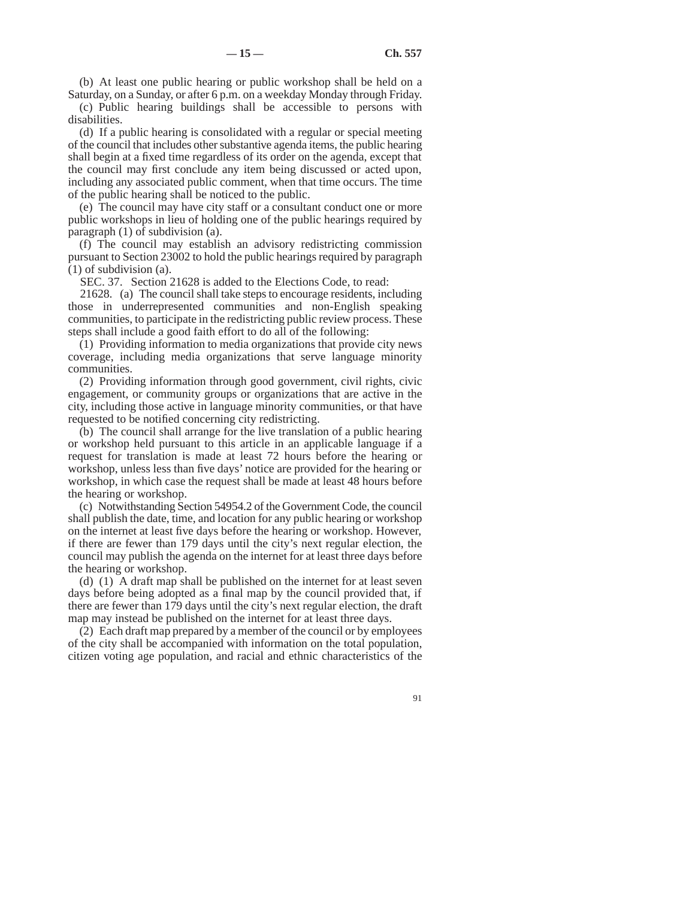(b) At least one public hearing or public workshop shall be held on a Saturday, on a Sunday, or after 6 p.m. on a weekday Monday through Friday.

(c) Public hearing buildings shall be accessible to persons with disabilities.

(d) If a public hearing is consolidated with a regular or special meeting of the council that includes other substantive agenda items, the public hearing shall begin at a fixed time regardless of its order on the agenda, except that the council may first conclude any item being discussed or acted upon, including any associated public comment, when that time occurs. The time of the public hearing shall be noticed to the public.

(e) The council may have city staff or a consultant conduct one or more public workshops in lieu of holding one of the public hearings required by paragraph (1) of subdivision (a).

(f) The council may establish an advisory redistricting commission pursuant to Section 23002 to hold the public hearings required by paragraph (1) of subdivision (a).

SEC. 37. Section 21628 is added to the Elections Code, to read:

21628. (a) The council shall take steps to encourage residents, including those in underrepresented communities and non-English speaking communities, to participate in the redistricting public review process. These steps shall include a good faith effort to do all of the following:

(1) Providing information to media organizations that provide city news coverage, including media organizations that serve language minority communities.

(2) Providing information through good government, civil rights, civic engagement, or community groups or organizations that are active in the city, including those active in language minority communities, or that have requested to be notified concerning city redistricting.

(b) The council shall arrange for the live translation of a public hearing or workshop held pursuant to this article in an applicable language if a request for translation is made at least 72 hours before the hearing or workshop, unless less than five days' notice are provided for the hearing or workshop, in which case the request shall be made at least 48 hours before the hearing or workshop.

(c) Notwithstanding Section 54954.2 of the Government Code, the council shall publish the date, time, and location for any public hearing or workshop on the internet at least five days before the hearing or workshop. However, if there are fewer than 179 days until the city's next regular election, the council may publish the agenda on the internet for at least three days before the hearing or workshop.

(d) (1) A draft map shall be published on the internet for at least seven days before being adopted as a final map by the council provided that, if there are fewer than 179 days until the city's next regular election, the draft map may instead be published on the internet for at least three days.

(2) Each draft map prepared by a member of the council or by employees of the city shall be accompanied with information on the total population, citizen voting age population, and racial and ethnic characteristics of the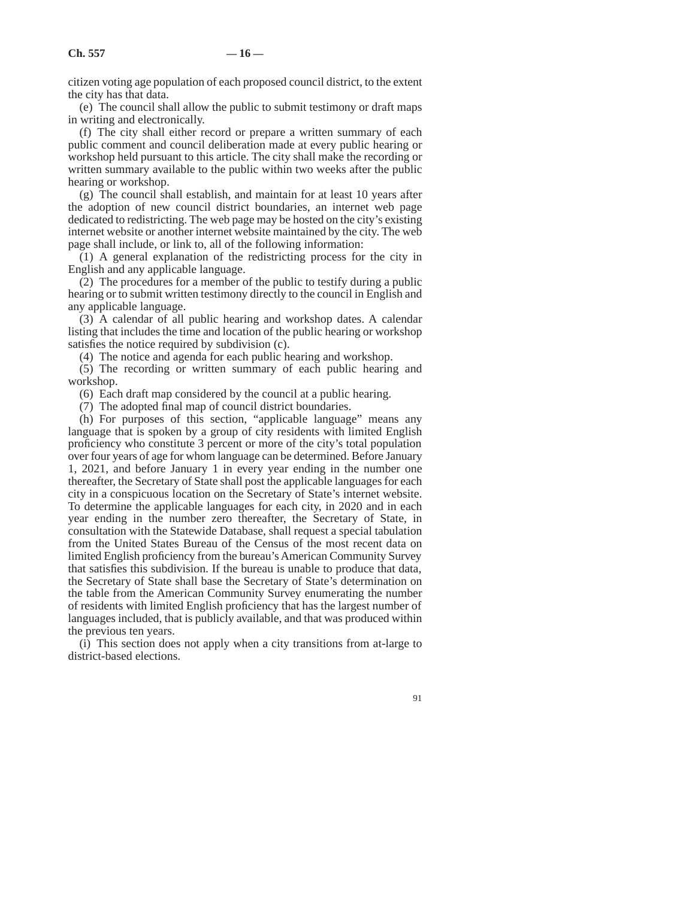citizen voting age population of each proposed council district, to the extent the city has that data.

(e) The council shall allow the public to submit testimony or draft maps in writing and electronically.

(f) The city shall either record or prepare a written summary of each public comment and council deliberation made at every public hearing or workshop held pursuant to this article. The city shall make the recording or written summary available to the public within two weeks after the public hearing or workshop.

(g) The council shall establish, and maintain for at least 10 years after the adoption of new council district boundaries, an internet web page dedicated to redistricting. The web page may be hosted on the city's existing internet website or another internet website maintained by the city. The web page shall include, or link to, all of the following information:

(1) A general explanation of the redistricting process for the city in English and any applicable language.

(2) The procedures for a member of the public to testify during a public hearing or to submit written testimony directly to the council in English and any applicable language.

(3) A calendar of all public hearing and workshop dates. A calendar listing that includes the time and location of the public hearing or workshop satisfies the notice required by subdivision (c).

(4) The notice and agenda for each public hearing and workshop.

(5) The recording or written summary of each public hearing and workshop.

(6) Each draft map considered by the council at a public hearing.

(7) The adopted final map of council district boundaries.

(h) For purposes of this section, "applicable language" means any language that is spoken by a group of city residents with limited English proficiency who constitute 3 percent or more of the city's total population over four years of age for whom language can be determined. Before January 1, 2021, and before January 1 in every year ending in the number one thereafter, the Secretary of State shall post the applicable languages for each city in a conspicuous location on the Secretary of State's internet website. To determine the applicable languages for each city, in 2020 and in each year ending in the number zero thereafter, the Secretary of State, in consultation with the Statewide Database, shall request a special tabulation from the United States Bureau of the Census of the most recent data on limited English proficiency from the bureau's American Community Survey that satisfies this subdivision. If the bureau is unable to produce that data, the Secretary of State shall base the Secretary of State's determination on the table from the American Community Survey enumerating the number of residents with limited English proficiency that has the largest number of languages included, that is publicly available, and that was produced within the previous ten years.

(i) This section does not apply when a city transitions from at-large to district-based elections.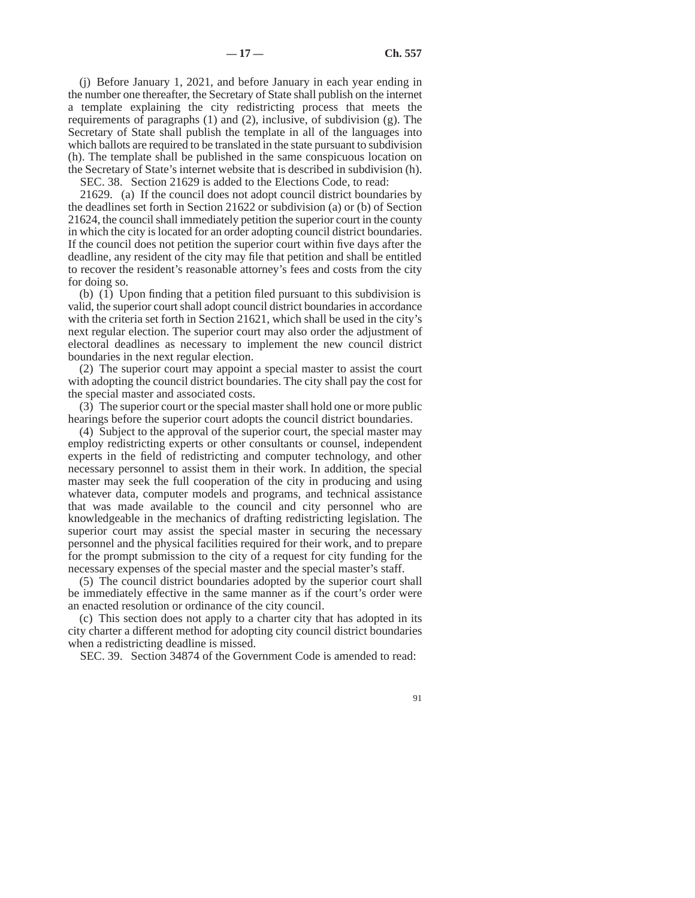(j) Before January 1, 2021, and before January in each year ending in the number one thereafter, the Secretary of State shall publish on the internet a template explaining the city redistricting process that meets the requirements of paragraphs (1) and (2), inclusive, of subdivision (g). The Secretary of State shall publish the template in all of the languages into which ballots are required to be translated in the state pursuant to subdivision (h). The template shall be published in the same conspicuous location on the Secretary of State's internet website that is described in subdivision (h).

SEC. 38. Section 21629 is added to the Elections Code, to read:

21629. (a) If the council does not adopt council district boundaries by the deadlines set forth in Section 21622 or subdivision (a) or (b) of Section 21624, the council shall immediately petition the superior court in the county in which the city is located for an order adopting council district boundaries. If the council does not petition the superior court within five days after the deadline, any resident of the city may file that petition and shall be entitled to recover the resident's reasonable attorney's fees and costs from the city for doing so.

(b) (1) Upon finding that a petition filed pursuant to this subdivision is valid, the superior court shall adopt council district boundaries in accordance with the criteria set forth in Section 21621, which shall be used in the city's next regular election. The superior court may also order the adjustment of electoral deadlines as necessary to implement the new council district boundaries in the next regular election.

(2) The superior court may appoint a special master to assist the court with adopting the council district boundaries. The city shall pay the cost for the special master and associated costs.

(3) The superior court or the special master shall hold one or more public hearings before the superior court adopts the council district boundaries.

(4) Subject to the approval of the superior court, the special master may employ redistricting experts or other consultants or counsel, independent experts in the field of redistricting and computer technology, and other necessary personnel to assist them in their work. In addition, the special master may seek the full cooperation of the city in producing and using whatever data, computer models and programs, and technical assistance that was made available to the council and city personnel who are knowledgeable in the mechanics of drafting redistricting legislation. The superior court may assist the special master in securing the necessary personnel and the physical facilities required for their work, and to prepare for the prompt submission to the city of a request for city funding for the necessary expenses of the special master and the special master's staff.

(5) The council district boundaries adopted by the superior court shall be immediately effective in the same manner as if the court's order were an enacted resolution or ordinance of the city council.

(c) This section does not apply to a charter city that has adopted in its city charter a different method for adopting city council district boundaries when a redistricting deadline is missed.

SEC. 39. Section 34874 of the Government Code is amended to read: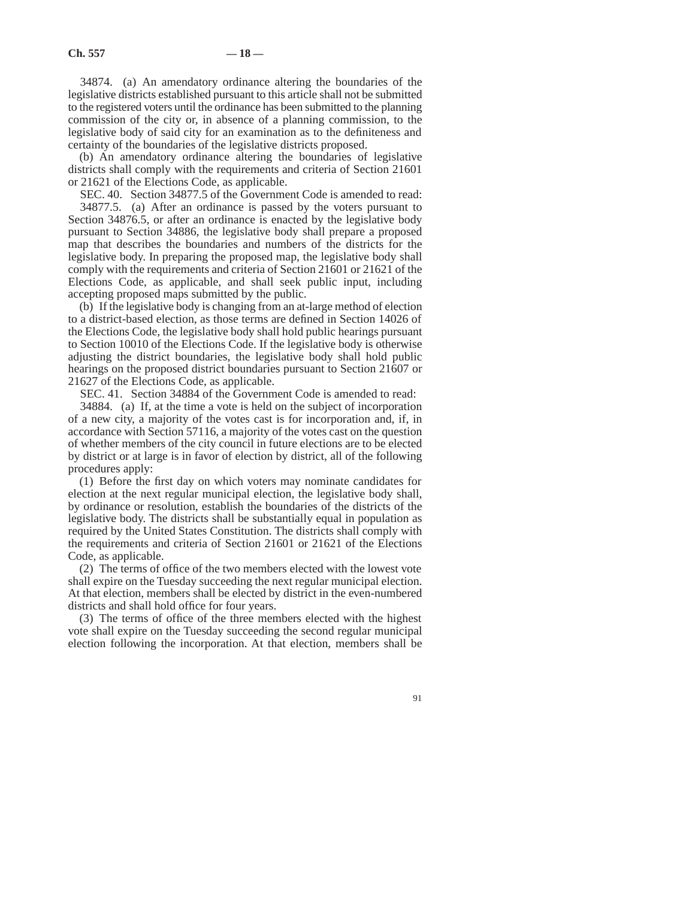34874. (a) An amendatory ordinance altering the boundaries of the legislative districts established pursuant to this article shall not be submitted to the registered voters until the ordinance has been submitted to the planning commission of the city or, in absence of a planning commission, to the legislative body of said city for an examination as to the definiteness and certainty of the boundaries of the legislative districts proposed.

(b) An amendatory ordinance altering the boundaries of legislative districts shall comply with the requirements and criteria of Section 21601 or 21621 of the Elections Code, as applicable.

SEC. 40. Section 34877.5 of the Government Code is amended to read: 34877.5. (a) After an ordinance is passed by the voters pursuant to Section 34876.5, or after an ordinance is enacted by the legislative body pursuant to Section 34886, the legislative body shall prepare a proposed map that describes the boundaries and numbers of the districts for the legislative body. In preparing the proposed map, the legislative body shall comply with the requirements and criteria of Section 21601 or 21621 of the Elections Code, as applicable, and shall seek public input, including accepting proposed maps submitted by the public.

(b) If the legislative body is changing from an at-large method of election to a district-based election, as those terms are defined in Section 14026 of the Elections Code, the legislative body shall hold public hearings pursuant to Section 10010 of the Elections Code. If the legislative body is otherwise adjusting the district boundaries, the legislative body shall hold public hearings on the proposed district boundaries pursuant to Section 21607 or 21627 of the Elections Code, as applicable.

SEC. 41. Section 34884 of the Government Code is amended to read:

34884. (a) If, at the time a vote is held on the subject of incorporation of a new city, a majority of the votes cast is for incorporation and, if, in accordance with Section 57116, a majority of the votes cast on the question of whether members of the city council in future elections are to be elected by district or at large is in favor of election by district, all of the following procedures apply:

(1) Before the first day on which voters may nominate candidates for election at the next regular municipal election, the legislative body shall, by ordinance or resolution, establish the boundaries of the districts of the legislative body. The districts shall be substantially equal in population as required by the United States Constitution. The districts shall comply with the requirements and criteria of Section 21601 or 21621 of the Elections Code, as applicable.

(2) The terms of office of the two members elected with the lowest vote shall expire on the Tuesday succeeding the next regular municipal election. At that election, members shall be elected by district in the even-numbered districts and shall hold office for four years.

(3) The terms of office of the three members elected with the highest vote shall expire on the Tuesday succeeding the second regular municipal election following the incorporation. At that election, members shall be